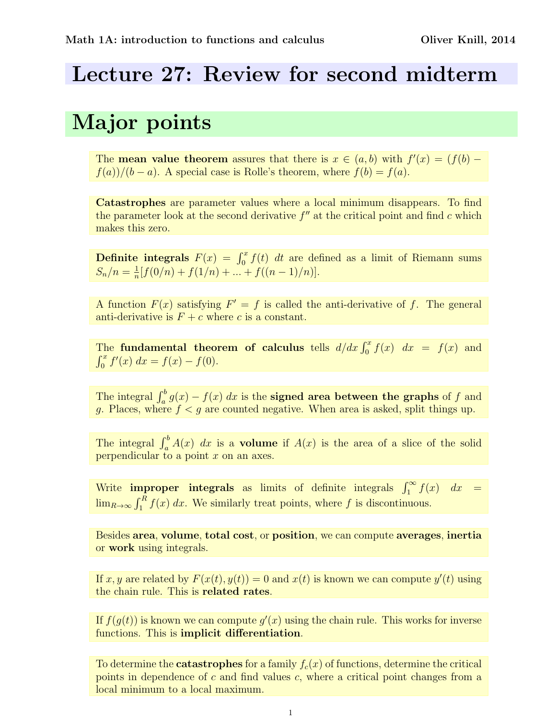### Lecture 27: Review for second midterm

## Major points

The **mean value theorem** assures that there is  $x \in (a, b)$  with  $f'(x) = (f(b)$  $f(a)/(b-a)$ . A special case is Rolle's theorem, where  $f(b) = f(a)$ .

Catastrophes are parameter values where a local minimum disappears. To find the parameter look at the second derivative  $f''$  at the critical point and find c which makes this zero.

**Definite integrals**  $F(x) = \int_0^x f(t) dt$  are defined as a limit of Riemann sums  $S_n/n = \frac{1}{n}$  $\frac{1}{n}[f(0/n) + f(1/n) + \dots + f((n-1)/n)].$ 

A function  $F(x)$  satisfying  $F' = f$  is called the anti-derivative of f. The general anti-derivative is  $F + c$  where c is a constant.

The fundamental theorem of calculus tells  $d/dx \int_0^x f(x) dx = f(x)$  and  $\int_0^x f'(x) \, dx = f(x) - f(0).$ 

The integral  $\int_a^b g(x) - f(x) dx$  is the **signed area between the graphs** of f and g. Places, where  $f < g$  are counted negative. When area is asked, split things up.

The integral  $\int_a^b A(x) dx$  is a **volume** if  $A(x)$  is the area of a slice of the solid perpendicular to a point  $x$  on an axes.

Write **improper integrals** as limits of definite integrals  $\int_1^{\infty} f(x) dx =$  $\lim_{R\to\infty} \int_1^R f(x) dx$ . We similarly treat points, where f is discontinuous.

Besides area, volume, total cost, or position, we can compute averages, inertia or work using integrals.

If  $x, y$  are related by  $F(x(t), y(t)) = 0$  and  $x(t)$  is known we can compute  $y'(t)$  using the chain rule. This is related rates.

If  $f(g(t))$  is known we can compute  $g'(x)$  using the chain rule. This works for inverse functions. This is implicit differentiation.

To determine the **catastrophes** for a family  $f_c(x)$  of functions, determine the critical points in dependence of  $c$  and find values  $c$ , where a critical point changes from a local minimum to a local maximum.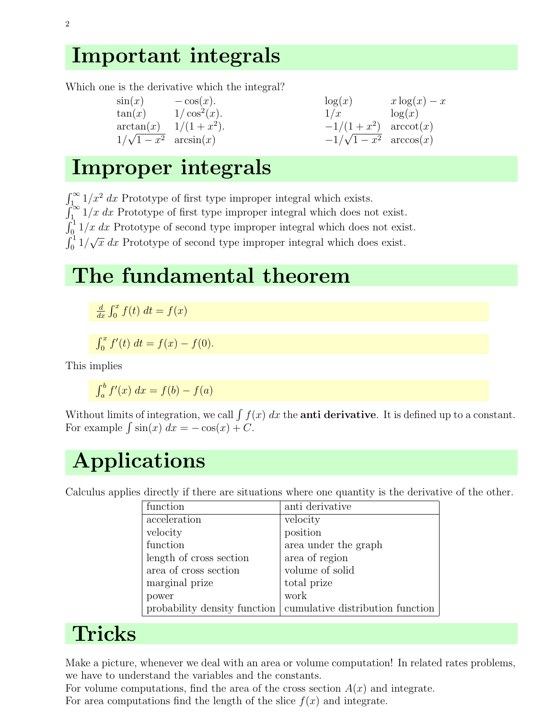## Important integrals

Which one is the derivative which the integral?

 $\sin(x)$  –  $\cos(x)$ .  $\tan(x)$  1/ $\cos^2(x)$ .  $\arctan(x)$   $1/(1+x)$ 2 ).  $1/\sqrt{1-x^2}$  arcsin $(x)$ 

| $\log(x)$         | $x \log(x) - x$ |
|-------------------|-----------------|
| 1/x               | $\log(x)$       |
| $-1/(1+x^2)$      | arccot(x)       |
| $-1/\sqrt{1-x^2}$ | arccos(x)       |

## Improper integrals

 $\int_{1}^{\infty} 1/x^2 dx$  Prototype of first type improper integral which exists.  $\int_{1}^{\infty} 1/x \, dx$  Prototype of first type improper integral which does not exist.  $\int_0^1 1/x \, dx$  Prototype of second type improper integral which does not exist.  $\int_0^1 1/\sqrt{x} \, dx$  Prototype of second type improper integral which does exist.

## The fundamental theorem

d  $\frac{d}{dx} \int_0^x f(t) dt = f(x)$ 

 $\int_0^x f'(t) dt = f(x) - f(0).$ 

This implies

 $\int_a^b f'(x) \ dx = f(b) - f(a)$ 

Without limits of integration, we call  $\int f(x) dx$  the **anti derivative**. It is defined up to a constant. For example  $\int \sin(x) dx = -\cos(x) + C$ .

# Applications

Calculus applies directly if there are situations where one quantity is the derivative of the other.

| function                     | anti derivative                  |
|------------------------------|----------------------------------|
| acceleration                 | velocity                         |
| velocity                     | position                         |
| function                     | area under the graph             |
| length of cross section      | area of region                   |
| area of cross section        | volume of solid                  |
| marginal prize               | total prize                      |
| power                        | work                             |
| probability density function | cumulative distribution function |

# Tricks

Make a picture, whenever we deal with an area or volume computation! In related rates problems, we have to understand the variables and the constants.

For volume computations, find the area of the cross section  $A(x)$  and integrate. For area computations find the length of the slice  $f(x)$  and integrate.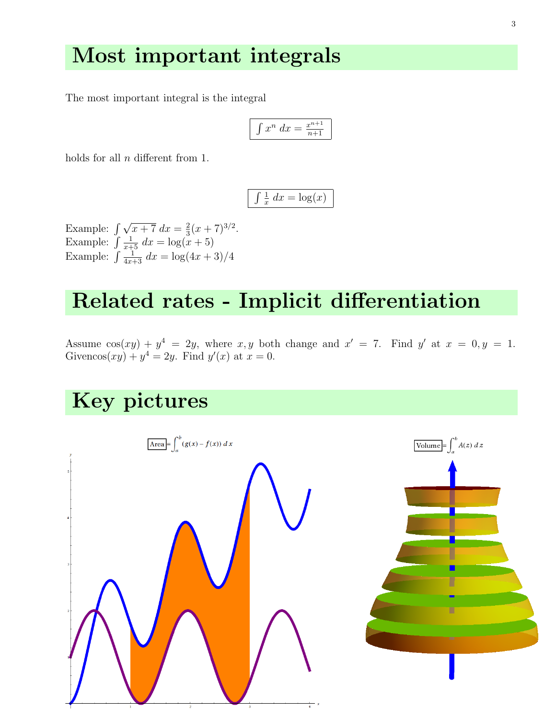#### Most important integrals

The most important integral is the integral

$$
\int x^n dx = \frac{x^{n+1}}{n+1}
$$

holds for all  $n$  different from 1.

$$
\int \frac{1}{x} \, dx = \log(x)
$$

Example:  $\int \sqrt{x+7} \, dx = \frac{2}{3}$  $\frac{2}{3}(x+7)^{3/2}.$ Example:  $\int \frac{1}{x+5} dx = \log(x+5)$ Example:  $\int \frac{1}{4x+3} dx = \log(4x+3)/4$ 

### Related rates - Implicit differentiation

Assume  $cos(xy) + y^4 = 2y$ , where x, y both change and  $x' = 7$ . Find y' at  $x = 0, y = 1$ . Givencos $(xy) + y^4 = 2y$ . Find  $y'(x)$  at  $x = 0$ .

## Key pictures